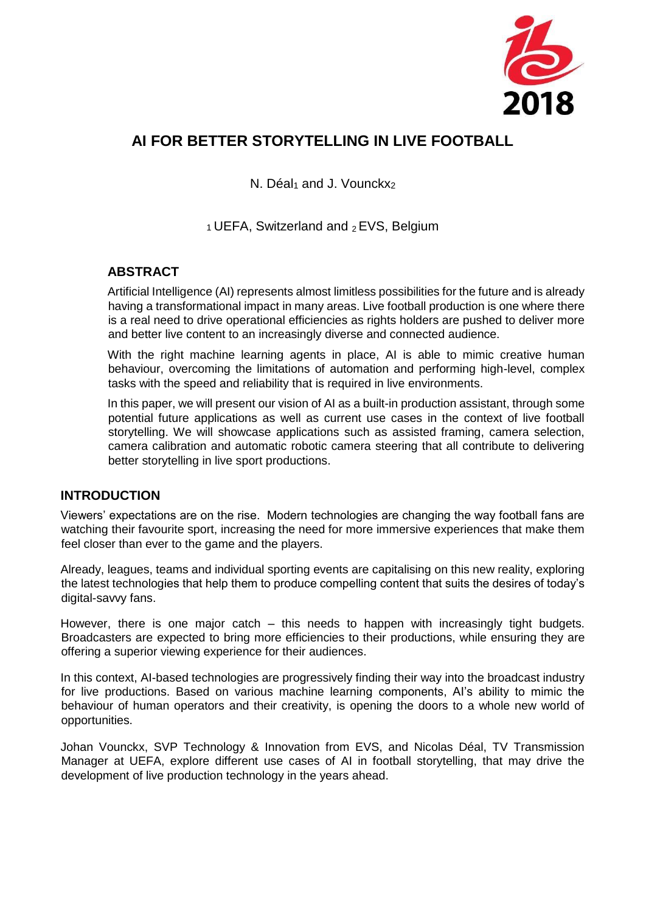

# **AI FOR BETTER STORYTELLING IN LIVE FOOTBALL**

N. Déal $_1$  and J. Vounckx<sub>2</sub>

 $1$  UEFA, Switzerland and  $2$  EVS, Belgium

### **ABSTRACT**

Artificial Intelligence (AI) represents almost limitless possibilities for the future and is already having a transformational impact in many areas. Live football production is one where there is a real need to drive operational efficiencies as rights holders are pushed to deliver more and better live content to an increasingly diverse and connected audience.

With the right machine learning agents in place, AI is able to mimic creative human behaviour, overcoming the limitations of automation and performing high-level, complex tasks with the speed and reliability that is required in live environments.

In this paper, we will present our vision of AI as a built-in production assistant, through some potential future applications as well as current use cases in the context of live football storytelling. We will showcase applications such as assisted framing, camera selection, camera calibration and automatic robotic camera steering that all contribute to delivering better storytelling in live sport productions.

### **INTRODUCTION**

Viewers' expectations are on the rise. Modern technologies are changing the way football fans are watching their favourite sport, increasing the need for more immersive experiences that make them feel closer than ever to the game and the players.

Already, leagues, teams and individual sporting events are capitalising on this new reality, exploring the latest technologies that help them to produce compelling content that suits the desires of today's digital-savvy fans.

However, there is one major catch – this needs to happen with increasingly tight budgets. Broadcasters are expected to bring more efficiencies to their productions, while ensuring they are offering a superior viewing experience for their audiences.

In this context, AI-based technologies are progressively finding their way into the broadcast industry for live productions. Based on various machine learning components, AI's ability to mimic the behaviour of human operators and their creativity, is opening the doors to a whole new world of opportunities.

Johan Vounckx, SVP Technology & Innovation from EVS, and Nicolas Déal, TV Transmission Manager at UEFA, explore different use cases of AI in football storytelling, that may drive the development of live production technology in the years ahead.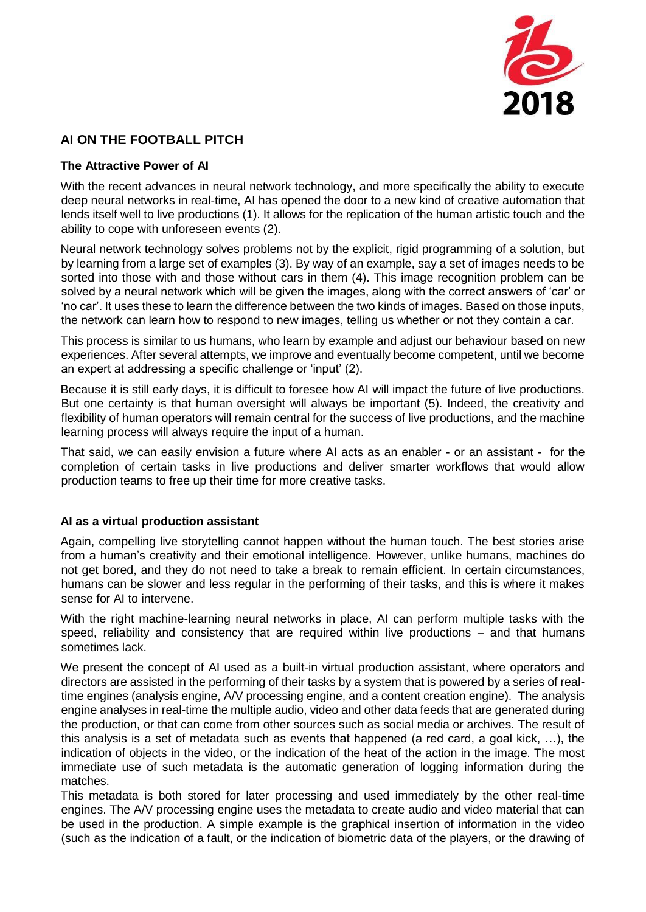

## **AI ON THE FOOTBALL PITCH**

#### **The Attractive Power of AI**

With the recent advances in neural network technology, and more specifically the ability to execute deep neural networks in real-time, AI has opened the door to a new kind of creative automation that lends itself well to live productions (1). It allows for the replication of the human artistic touch and the ability to cope with unforeseen events (2).

Neural network technology solves problems not by the explicit, rigid programming of a solution, but by learning from a large set of examples (3). By way of an example, say a set of images needs to be sorted into those with and those without cars in them (4). This image recognition problem can be solved by a neural network which will be given the images, along with the correct answers of 'car' or 'no car'. It uses these to learn the difference between the two kinds of images. Based on those inputs, the network can learn how to respond to new images, telling us whether or not they contain a car.

This process is similar to us humans, who learn by example and adjust our behaviour based on new experiences. After several attempts, we improve and eventually become competent, until we become an expert at addressing a specific challenge or 'input' (2).

Because it is still early days, it is difficult to foresee how AI will impact the future of live productions. But one certainty is that human oversight will always be important (5). Indeed, the creativity and flexibility of human operators will remain central for the success of live productions, and the machine learning process will always require the input of a human.

That said, we can easily envision a future where AI acts as an enabler - or an assistant - for the completion of certain tasks in live productions and deliver smarter workflows that would allow production teams to free up their time for more creative tasks.

#### **AI as a virtual production assistant**

Again, compelling live storytelling cannot happen without the human touch. The best stories arise from a human's creativity and their emotional intelligence. However, unlike humans, machines do not get bored, and they do not need to take a break to remain efficient. In certain circumstances, humans can be slower and less regular in the performing of their tasks, and this is where it makes sense for AI to intervene.

With the right machine-learning neural networks in place, AI can perform multiple tasks with the speed, reliability and consistency that are required within live productions – and that humans sometimes lack.

We present the concept of AI used as a built-in virtual production assistant, where operators and directors are assisted in the performing of their tasks by a system that is powered by a series of realtime engines (analysis engine, A/V processing engine, and a content creation engine). The analysis engine analyses in real-time the multiple audio, video and other data feeds that are generated during the production, or that can come from other sources such as social media or archives. The result of this analysis is a set of metadata such as events that happened (a red card, a goal kick, …), the indication of objects in the video, or the indication of the heat of the action in the image. The most immediate use of such metadata is the automatic generation of logging information during the matches.

This metadata is both stored for later processing and used immediately by the other real-time engines. The A/V processing engine uses the metadata to create audio and video material that can be used in the production. A simple example is the graphical insertion of information in the video (such as the indication of a fault, or the indication of biometric data of the players, or the drawing of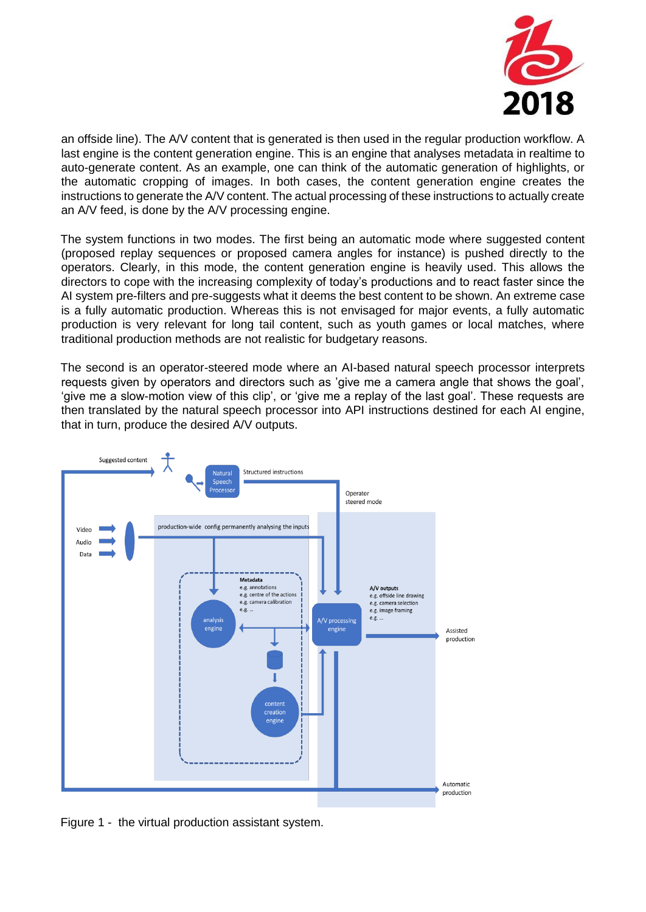

an offside line). The A/V content that is generated is then used in the regular production workflow. A last engine is the content generation engine. This is an engine that analyses metadata in realtime to auto-generate content. As an example, one can think of the automatic generation of highlights, or the automatic cropping of images. In both cases, the content generation engine creates the instructions to generate the A/V content. The actual processing of these instructions to actually create an A/V feed, is done by the A/V processing engine.

The system functions in two modes. The first being an automatic mode where suggested content (proposed replay sequences or proposed camera angles for instance) is pushed directly to the operators. Clearly, in this mode, the content generation engine is heavily used. This allows the directors to cope with the increasing complexity of today's productions and to react faster since the AI system pre-filters and pre-suggests what it deems the best content to be shown. An extreme case is a fully automatic production. Whereas this is not envisaged for major events, a fully automatic production is very relevant for long tail content, such as youth games or local matches, where traditional production methods are not realistic for budgetary reasons.

The second is an operator-steered mode where an AI-based natural speech processor interprets requests given by operators and directors such as 'give me a camera angle that shows the goal', 'give me a slow-motion view of this clip', or 'give me a replay of the last goal'. These requests are then translated by the natural speech processor into API instructions destined for each AI engine, that in turn, produce the desired A/V outputs.



Figure 1 - the virtual production assistant system.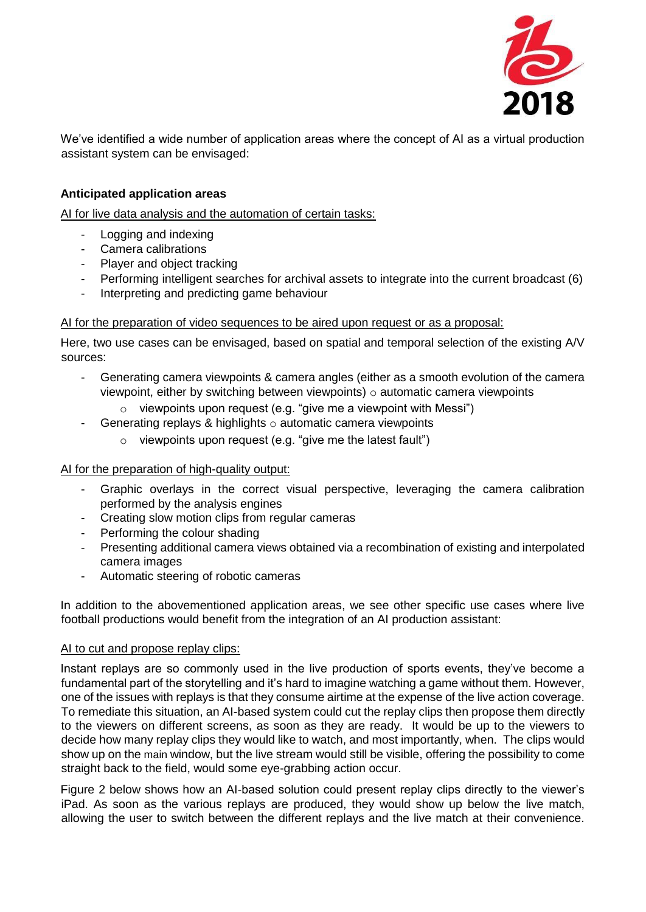

We've identified a wide number of application areas where the concept of AI as a virtual production assistant system can be envisaged:

#### **Anticipated application areas**

AI for live data analysis and the automation of certain tasks:

- Logging and indexing
- Camera calibrations
- Player and object tracking
- Performing intelligent searches for archival assets to integrate into the current broadcast (6)
- Interpreting and predicting game behaviour

#### AI for the preparation of video sequences to be aired upon request or as a proposal:

Here, two use cases can be envisaged, based on spatial and temporal selection of the existing A/V sources:

- Generating camera viewpoints & camera angles (either as a smooth evolution of the camera viewpoint, either by switching between viewpoints)  $\circ$  automatic camera viewpoints
	- $\circ$  viewpoints upon request (e.g. "give me a viewpoint with Messi")
- Generating replays & highlights  $\circ$  automatic camera viewpoints
	- $\circ$  viewpoints upon request (e.g. "give me the latest fault")

#### AI for the preparation of high-quality output:

- Graphic overlays in the correct visual perspective, leveraging the camera calibration performed by the analysis engines
- Creating slow motion clips from regular cameras
- Performing the colour shading
- Presenting additional camera views obtained via a recombination of existing and interpolated camera images
- Automatic steering of robotic cameras

In addition to the abovementioned application areas, we see other specific use cases where live football productions would benefit from the integration of an AI production assistant:

#### AI to cut and propose replay clips:

Instant replays are so commonly used in the live production of sports events, they've become a fundamental part of the storytelling and it's hard to imagine watching a game without them. However, one of the issues with replays is that they consume airtime at the expense of the live action coverage. To remediate this situation, an AI-based system could cut the replay clips then propose them directly to the viewers on different screens, as soon as they are ready. It would be up to the viewers to decide how many replay clips they would like to watch, and most importantly, when. The clips would show up on the main window, but the live stream would still be visible, offering the possibility to come straight back to the field, would some eye-grabbing action occur.

Figure 2 below shows how an AI-based solution could present replay clips directly to the viewer's iPad. As soon as the various replays are produced, they would show up below the live match, allowing the user to switch between the different replays and the live match at their convenience.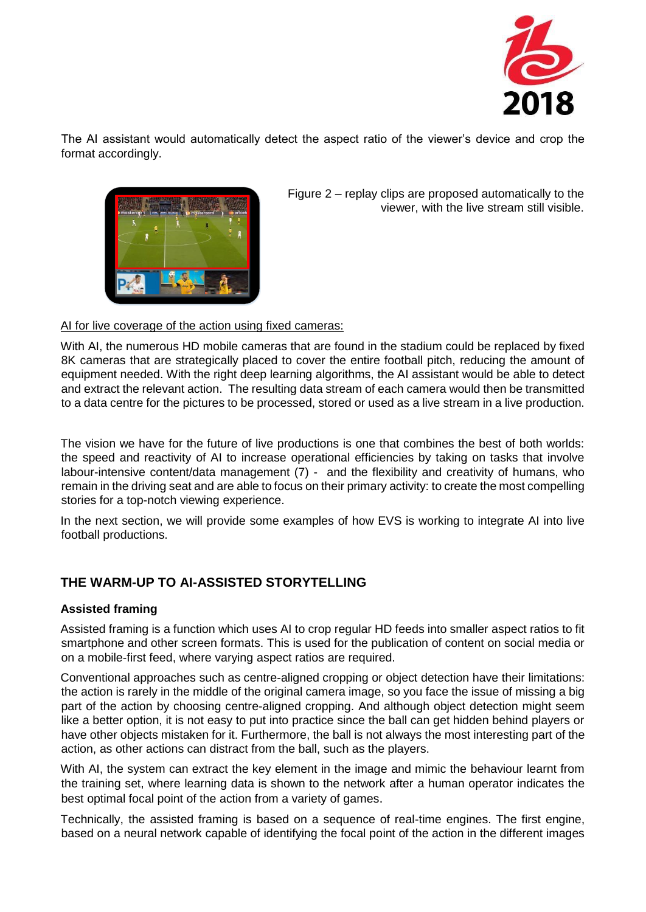

The AI assistant would automatically detect the aspect ratio of the viewer's device and crop the format accordingly.



Figure 2 – replay clips are proposed automatically to the viewer, with the live stream still visible.

#### AI for live coverage of the action using fixed cameras:

With AI, the numerous HD mobile cameras that are found in the stadium could be replaced by fixed 8K cameras that are strategically placed to cover the entire football pitch, reducing the amount of equipment needed. With the right deep learning algorithms, the AI assistant would be able to detect and extract the relevant action. The resulting data stream of each camera would then be transmitted to a data centre for the pictures to be processed, stored or used as a live stream in a live production.

The vision we have for the future of live productions is one that combines the best of both worlds: the speed and reactivity of AI to increase operational efficiencies by taking on tasks that involve labour-intensive content/data management (7) - and the flexibility and creativity of humans, who remain in the driving seat and are able to focus on their primary activity: to create the most compelling stories for a top-notch viewing experience.

In the next section, we will provide some examples of how EVS is working to integrate AI into live football productions.

### **THE WARM-UP TO AI-ASSISTED STORYTELLING**

#### **Assisted framing**

Assisted framing is a function which uses AI to crop regular HD feeds into smaller aspect ratios to fit smartphone and other screen formats. This is used for the publication of content on social media or on a mobile-first feed, where varying aspect ratios are required.

Conventional approaches such as centre-aligned cropping or object detection have their limitations: the action is rarely in the middle of the original camera image, so you face the issue of missing a big part of the action by choosing centre-aligned cropping. And although object detection might seem like a better option, it is not easy to put into practice since the ball can get hidden behind players or have other objects mistaken for it. Furthermore, the ball is not always the most interesting part of the action, as other actions can distract from the ball, such as the players.

With AI, the system can extract the key element in the image and mimic the behaviour learnt from the training set, where learning data is shown to the network after a human operator indicates the best optimal focal point of the action from a variety of games.

Technically, the assisted framing is based on a sequence of real-time engines. The first engine, based on a neural network capable of identifying the focal point of the action in the different images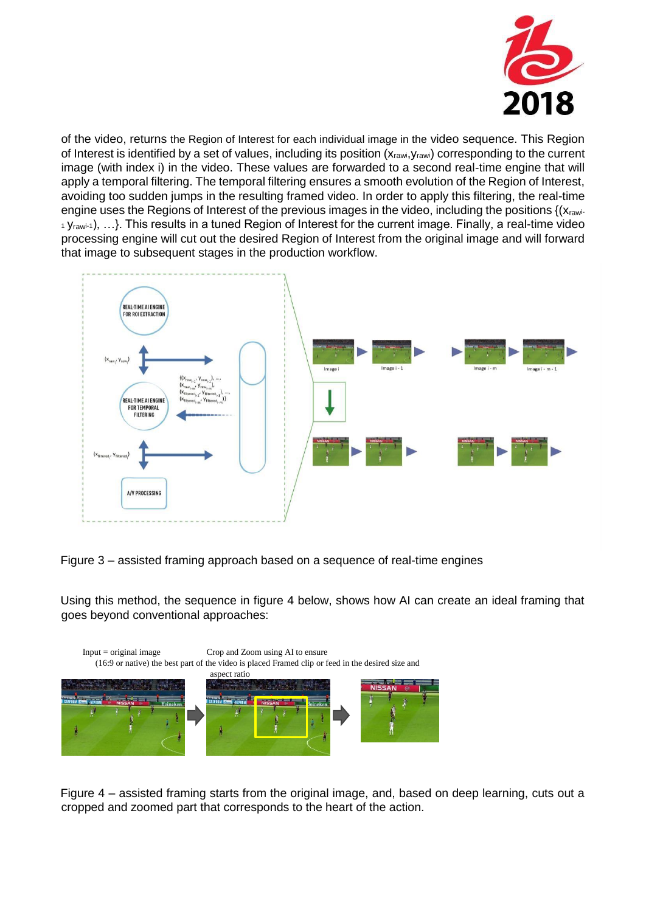

of the video, returns the Region of Interest for each individual image in the video sequence. This Region of Interest is identified by a set of values, including its position (X<sub>rawi</sub>, Y<sub>rawi</sub>) corresponding to the current image (with index i) in the video. These values are forwarded to a second real-time engine that will apply a temporal filtering. The temporal filtering ensures a smooth evolution of the Region of Interest, avoiding too sudden jumps in the resulting framed video. In order to apply this filtering, the real-time engine uses the Regions of Interest of the previous images in the video, including the positions {(xrawi-1 Yrawi-1), …}. This results in a tuned Region of Interest for the current image. Finally, a real-time video processing engine will cut out the desired Region of Interest from the original image and will forward that image to subsequent stages in the production workflow.

![](_page_5_Figure_2.jpeg)

Figure 3 – assisted framing approach based on a sequence of real-time engines

Using this method, the sequence in figure 4 below, shows how AI can create an ideal framing that goes beyond conventional approaches:

![](_page_5_Figure_5.jpeg)

Figure 4 – assisted framing starts from the original image, and, based on deep learning, cuts out a cropped and zoomed part that corresponds to the heart of the action.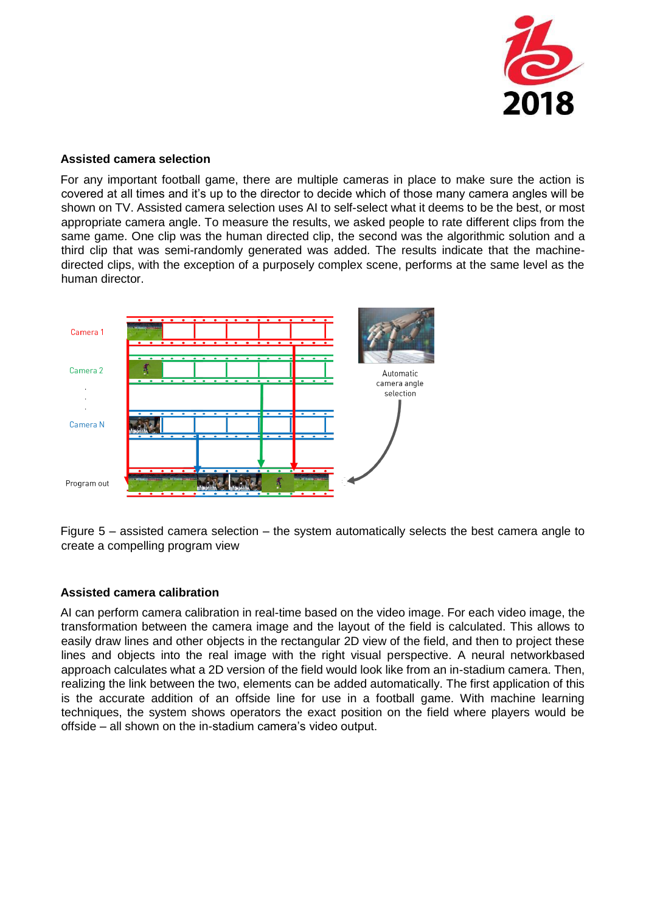![](_page_6_Picture_0.jpeg)

#### **Assisted camera selection**

For any important football game, there are multiple cameras in place to make sure the action is covered at all times and it's up to the director to decide which of those many camera angles will be shown on TV. Assisted camera selection uses AI to self-select what it deems to be the best, or most appropriate camera angle. To measure the results, we asked people to rate different clips from the same game. One clip was the human directed clip, the second was the algorithmic solution and a third clip that was semi-randomly generated was added. The results indicate that the machinedirected clips, with the exception of a purposely complex scene, performs at the same level as the human director.

![](_page_6_Figure_3.jpeg)

Figure 5 – assisted camera selection – the system automatically selects the best camera angle to create a compelling program view

### **Assisted camera calibration**

AI can perform camera calibration in real-time based on the video image. For each video image, the transformation between the camera image and the layout of the field is calculated. This allows to easily draw lines and other objects in the rectangular 2D view of the field, and then to project these lines and objects into the real image with the right visual perspective. A neural networkbased approach calculates what a 2D version of the field would look like from an in-stadium camera. Then, realizing the link between the two, elements can be added automatically. The first application of this is the accurate addition of an offside line for use in a football game. With machine learning techniques, the system shows operators the exact position on the field where players would be offside – all shown on the in-stadium camera's video output.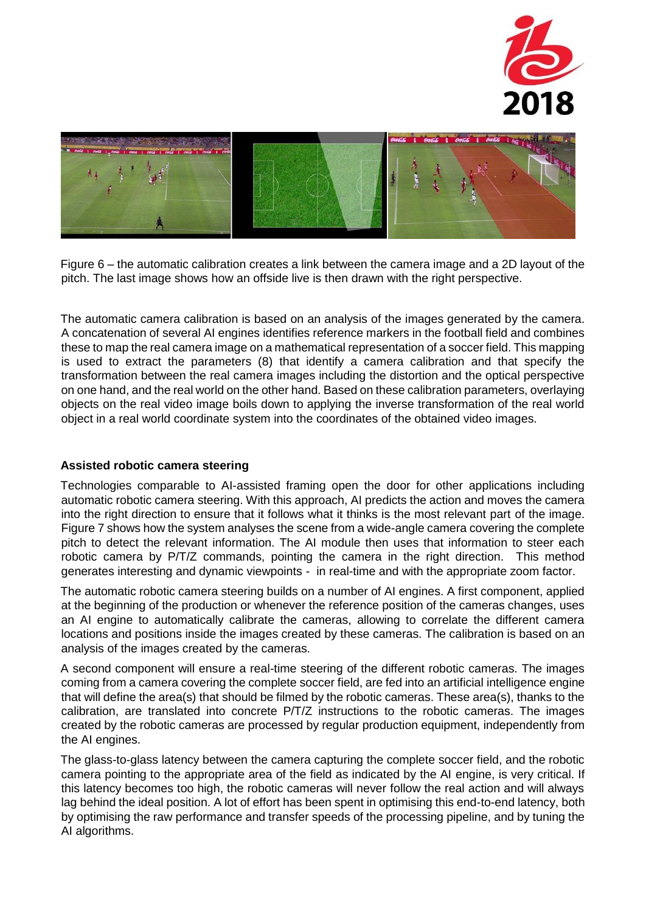![](_page_7_Picture_0.jpeg)

![](_page_7_Picture_1.jpeg)

Figure 6 – the automatic calibration creates a link between the camera image and a 2D layout of the pitch. The last image shows how an offside live is then drawn with the right perspective.

The automatic camera calibration is based on an analysis of the images generated by the camera. A concatenation of several AI engines identifies reference markers in the football field and combines these to map the real camera image on a mathematical representation of a soccer field. This mapping is used to extract the parameters (8) that identify a camera calibration and that specify the transformation between the real camera images including the distortion and the optical perspective on one hand, and the real world on the other hand. Based on these calibration parameters, overlaying objects on the real video image boils down to applying the inverse transformation of the real world object in a real world coordinate system into the coordinates of the obtained video images.

#### **Assisted robotic camera steering**

Technologies comparable to AI-assisted framing open the door for other applications including automatic robotic camera steering. With this approach, AI predicts the action and moves the camera into the right direction to ensure that it follows what it thinks is the most relevant part of the image. Figure 7 shows how the system analyses the scene from a wide-angle camera covering the complete pitch to detect the relevant information. The AI module then uses that information to steer each robotic camera by P/T/Z commands, pointing the camera in the right direction. This method generates interesting and dynamic viewpoints - in real-time and with the appropriate zoom factor.

The automatic robotic camera steering builds on a number of AI engines. A first component, applied at the beginning of the production or whenever the reference position of the cameras changes, uses an AI engine to automatically calibrate the cameras, allowing to correlate the different camera locations and positions inside the images created by these cameras. The calibration is based on an analysis of the images created by the cameras.

A second component will ensure a real-time steering of the different robotic cameras. The images coming from a camera covering the complete soccer field, are fed into an artificial intelligence engine that will define the area(s) that should be filmed by the robotic cameras. These area(s), thanks to the calibration, are translated into concrete P/T/Z instructions to the robotic cameras. The images created by the robotic cameras are processed by regular production equipment, independently from the AI engines.

The glass-to-glass latency between the camera capturing the complete soccer field, and the robotic camera pointing to the appropriate area of the field as indicated by the AI engine, is very critical. If this latency becomes too high, the robotic cameras will never follow the real action and will always lag behind the ideal position. A lot of effort has been spent in optimising this end-to-end latency, both by optimising the raw performance and transfer speeds of the processing pipeline, and by tuning the AI algorithms.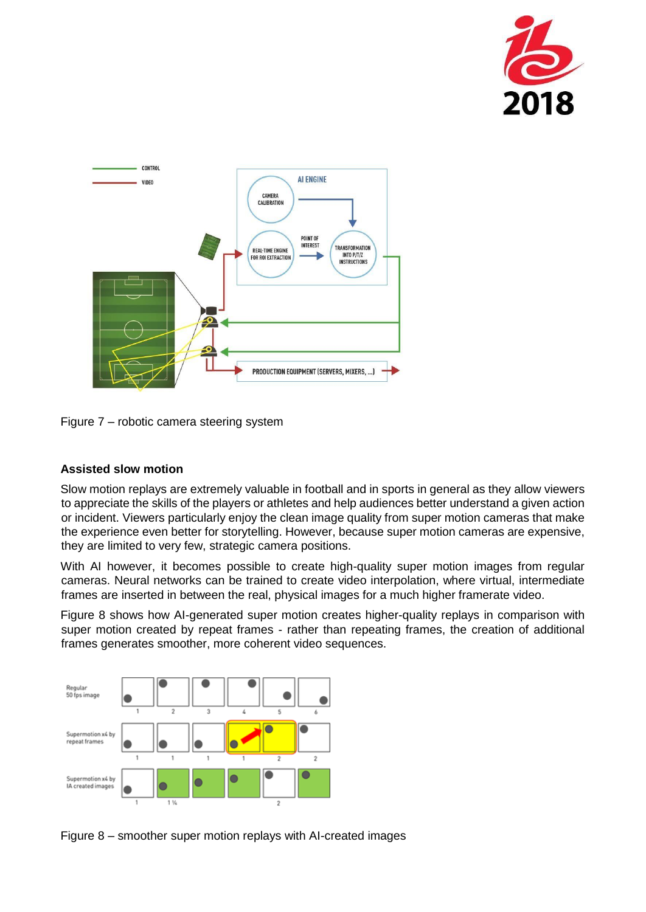![](_page_8_Picture_0.jpeg)

![](_page_8_Figure_1.jpeg)

Figure 7 – robotic camera steering system

### **Assisted slow motion**

Slow motion replays are extremely valuable in football and in sports in general as they allow viewers to appreciate the skills of the players or athletes and help audiences better understand a given action or incident. Viewers particularly enjoy the clean image quality from super motion cameras that make the experience even better for storytelling. However, because super motion cameras are expensive, they are limited to very few, strategic camera positions.

With AI however, it becomes possible to create high-quality super motion images from regular cameras. Neural networks can be trained to create video interpolation, where virtual, intermediate frames are inserted in between the real, physical images for a much higher framerate video.

Figure 8 shows how AI-generated super motion creates higher-quality replays in comparison with super motion created by repeat frames - rather than repeating frames, the creation of additional frames generates smoother, more coherent video sequences.

![](_page_8_Figure_7.jpeg)

Figure 8 – smoother super motion replays with AI-created images